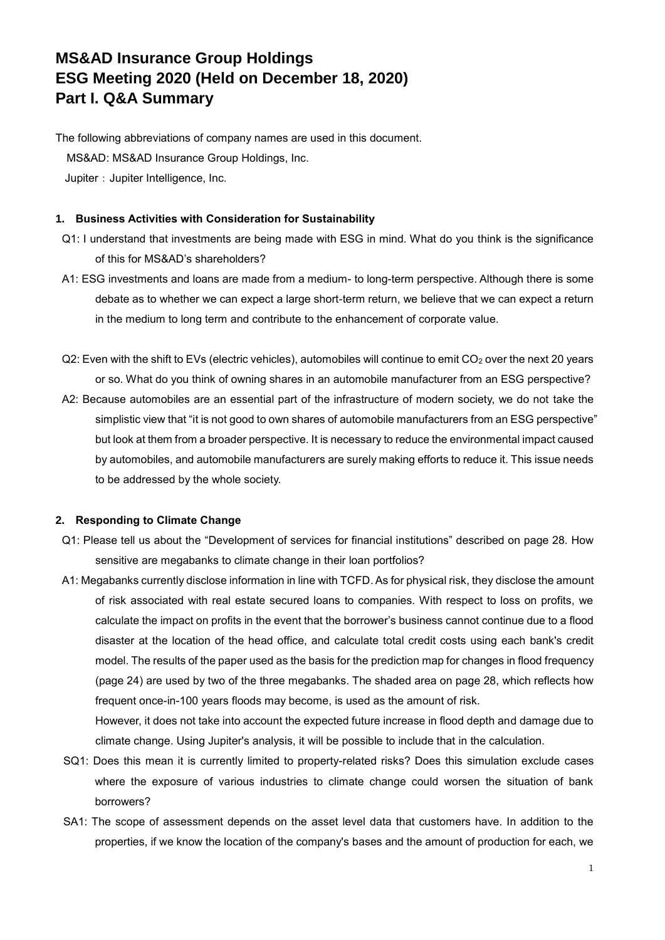## **MS&AD Insurance Group Holdings ESG Meeting 2020 (Held on December 18, 2020) Part I. Q&A Summary**

The following abbreviations of company names are used in this document. MS&AD: MS&AD Insurance Group Holdings, Inc. Jupiter: Jupiter Intelligence, Inc.

## **1. Business Activities with Consideration for Sustainability**

- Q1: I understand that investments are being made with ESG in mind. What do you think is the significance of this for MS&AD's shareholders?
- A1: ESG investments and loans are made from a medium- to long-term perspective. Although there is some debate as to whether we can expect a large short-term return, we believe that we can expect a return in the medium to long term and contribute to the enhancement of corporate value.
- Q2: Even with the shift to EVs (electric vehicles), automobiles will continue to emit CO<sub>2</sub> over the next 20 years or so. What do you think of owning shares in an automobile manufacturer from an ESG perspective?
- A2: Because automobiles are an essential part of the infrastructure of modern society, we do not take the simplistic view that "it is not good to own shares of automobile manufacturers from an ESG perspective" but look at them from a broader perspective. It is necessary to reduce the environmental impact caused by automobiles, and automobile manufacturers are surely making efforts to reduce it. This issue needs to be addressed by the whole society.

## **2. Responding to Climate Change**

- Q1: Please tell us about the "Development of services for financial institutions" described on page 28. How sensitive are megabanks to climate change in their loan portfolios?
- A1: Megabanks currently disclose information in line with TCFD. As for physical risk, they disclose the amount of risk associated with real estate secured loans to companies. With respect to loss on profits, we calculate the impact on profits in the event that the borrower's business cannot continue due to a flood disaster at the location of the head office, and calculate total credit costs using each bank's credit model. The results of the paper used as the basis for the prediction map for changes in flood frequency (page 24) are used by two of the three megabanks. The shaded area on page 28, which reflects how frequent once-in-100 years floods may become, is used as the amount of risk.

However, it does not take into account the expected future increase in flood depth and damage due to climate change. Using Jupiter's analysis, it will be possible to include that in the calculation.

- SQ1: Does this mean it is currently limited to property-related risks? Does this simulation exclude cases where the exposure of various industries to climate change could worsen the situation of bank borrowers?
- SA1: The scope of assessment depends on the asset level data that customers have. In addition to the properties, if we know the location of the company's bases and the amount of production for each, we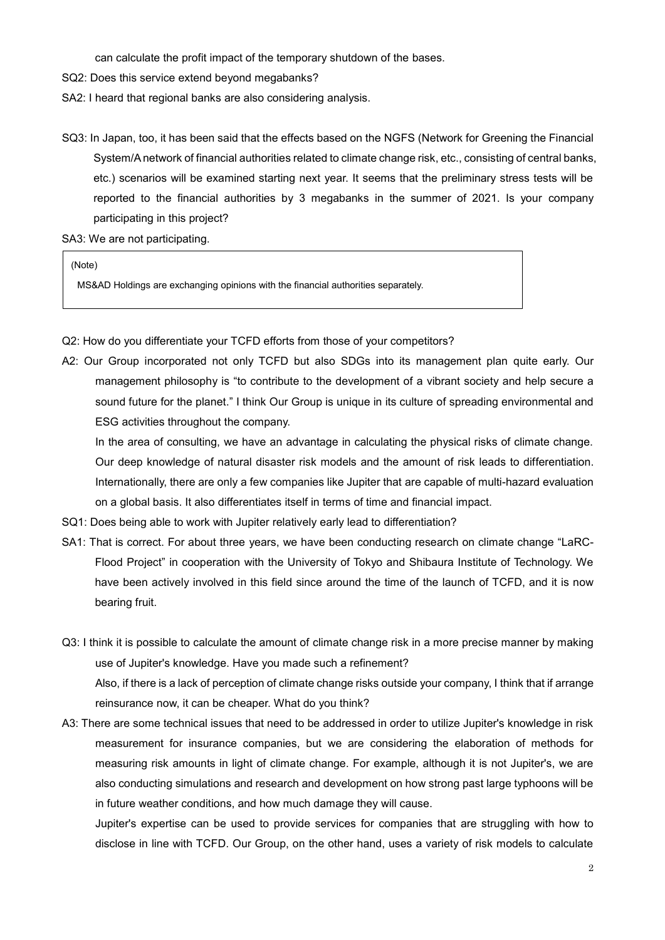can calculate the profit impact of the temporary shutdown of the bases.

- SQ2: Does this service extend beyond megabanks?
- SA2: I heard that regional banks are also considering analysis.
- SQ3: In Japan, too, it has been said that the effects based on the NGFS (Network for Greening the Financial System/A network of financial authorities related to climate change risk, etc., consisting of central banks, etc.) scenarios will be examined starting next year. It seems that the preliminary stress tests will be reported to the financial authorities by 3 megabanks in the summer of 2021. Is your company participating in this project?

SA3: We are not participating.

(Note)

MS&AD Holdings are exchanging opinions with the financial authorities separately.

- Q2: How do you differentiate your TCFD efforts from those of your competitors?
- A2: Our Group incorporated not only TCFD but also SDGs into its management plan quite early. Our management philosophy is "to contribute to the development of a vibrant society and help secure a sound future for the planet." I think Our Group is unique in its culture of spreading environmental and ESG activities throughout the company.

In the area of consulting, we have an advantage in calculating the physical risks of climate change. Our deep knowledge of natural disaster risk models and the amount of risk leads to differentiation. Internationally, there are only a few companies like Jupiter that are capable of multi-hazard evaluation on a global basis. It also differentiates itself in terms of time and financial impact.

- SQ1: Does being able to work with Jupiter relatively early lead to differentiation?
- SA1: That is correct. For about three years, we have been conducting research on climate change "LaRC-Flood Project" in cooperation with the University of Tokyo and Shibaura Institute of Technology. We have been actively involved in this field since around the time of the launch of TCFD, and it is now bearing fruit.
- Q3: I think it is possible to calculate the amount of climate change risk in a more precise manner by making use of Jupiter's knowledge. Have you made such a refinement? Also, if there is a lack of perception of climate change risks outside your company, I think that if arrange reinsurance now, it can be cheaper. What do you think?
- A3: There are some technical issues that need to be addressed in order to utilize Jupiter's knowledge in risk measurement for insurance companies, but we are considering the elaboration of methods for measuring risk amounts in light of climate change. For example, although it is not Jupiter's, we are also conducting simulations and research and development on how strong past large typhoons will be in future weather conditions, and how much damage they will cause.

Jupiter's expertise can be used to provide services for companies that are struggling with how to disclose in line with TCFD. Our Group, on the other hand, uses a variety of risk models to calculate